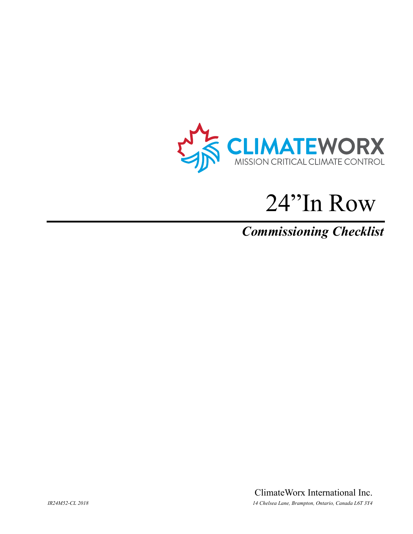

# 24"In Row

## **Commissioning Checklist**

ClimateWorx International Inc. 14 Chelsea Lane, Brampton, Ontario, Canada L6T 3Y4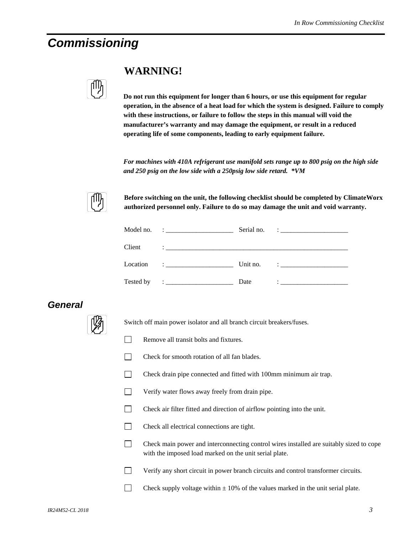### *Commissioning*

| I |
|---|
|   |
|   |

#### **WARNING!**

**Do not run this equipment for longer than 6 hours, or use this equipment for regular operation, in the absence of a heat load for which the system is designed. Failure to comply with these instructions, or failure to follow the steps in this manual will void the manufacturer's warranty and may damage the equipment, or result in a reduced operating life of some components, leading to early equipment failure.** 

*For machines with 410A refrigerant use manifold sets range up to 800 psig on the high side and 250 psig on the low side with a 250psig low side retard. \*VM* 



**Before switching on the unit, the following checklist should be completed by ClimateWorx authorized personnel only. Failure to do so may damage the unit and void warranty.** 

|           |                                                                                                                                                                                                                                                                                                                                                                                              | Serial no. | <u> 1986 - Jan Samuel Barbara, poeta poeta poeta poeta poeta poeta poeta poeta poeta poeta poeta poeta poeta poe</u>                                                                                                                                                                                                                                                          |
|-----------|----------------------------------------------------------------------------------------------------------------------------------------------------------------------------------------------------------------------------------------------------------------------------------------------------------------------------------------------------------------------------------------------|------------|-------------------------------------------------------------------------------------------------------------------------------------------------------------------------------------------------------------------------------------------------------------------------------------------------------------------------------------------------------------------------------|
| Client    |                                                                                                                                                                                                                                                                                                                                                                                              |            |                                                                                                                                                                                                                                                                                                                                                                               |
| Location  | $\mathbf{I}$ . The contract of the contract of $\mathbf{I}$                                                                                                                                                                                                                                                                                                                                  | Unit no.   | $\ddot{\phantom{a}}$ : $\ddot{\phantom{a}}$ , $\ddot{\phantom{a}}$ , $\ddot{\phantom{a}}$ , $\ddot{\phantom{a}}$ , $\ddot{\phantom{a}}$ , $\ddot{\phantom{a}}$ , $\ddot{\phantom{a}}$ , $\ddot{\phantom{a}}$ , $\ddot{\phantom{a}}$ , $\ddot{\phantom{a}}$ , $\ddot{\phantom{a}}$ , $\ddot{\phantom{a}}$ , $\ddot{\phantom{a}}$ , $\ddot{\phantom{a}}$ , $\ddot{\phantom{a}}$ |
| Tested by | $\ddot{\phantom{a}}$ : $\dddot{\phantom{a}}$ , $\dddot{\phantom{a}}$ , $\dddot{\phantom{a}}$ , $\dddot{\phantom{a}}$ , $\dddot{\phantom{a}}$ , $\dddot{\phantom{a}}$ , $\dddot{\phantom{a}}$ , $\dddot{\phantom{a}}$ , $\dddot{\phantom{a}}$ , $\dddot{\phantom{a}}$ , $\dddot{\phantom{a}}$ , $\dddot{\phantom{a}}$ , $\dddot{\phantom{a}}$ , $\dddot{\phantom{a}}$ , $\dddot{\phantom{a}}$ | Date       | $\ddot{\phantom{a}}$ , and the contract of the contract of the contract of the contract of the contract of the contract of the contract of the contract of the contract of the contract of the contract of the contract of the contrac                                                                                                                                        |

#### *General*



Switch off main power isolator and all branch circuit breakers/fuses.

- Remove all transit bolts and fixtures.
- $\Box$  Check for smooth rotation of all fan blades.
- Check drain pipe connected and fitted with 100mm minimum air trap.
- Verify water flows away freely from drain pipe.
- Check air filter fitted and direction of airflow pointing into the unit.
- Check all electrical connections are tight.
- Check main power and interconnecting control wires installed are suitably sized to cope with the imposed load marked on the unit serial plate.
- Verify any short circuit in power branch circuits and control transformer circuits.
- Check supply voltage within  $\pm$  10% of the values marked in the unit serial plate.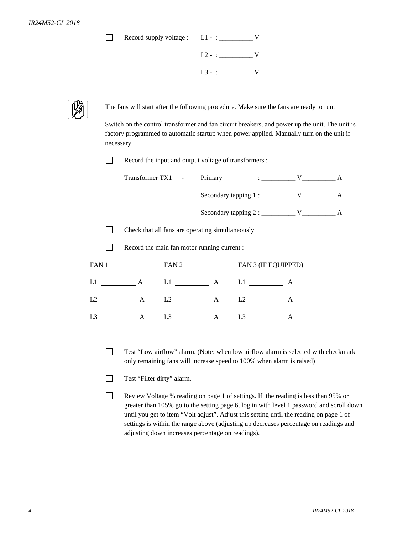| Record supply voltage : |  |
|-------------------------|--|
|                         |  |

| $L2 - :$ V |  |
|------------|--|
| $L3 - :$ V |  |



The fans will start after the following procedure. Make sure the fans are ready to run.

Switch on the control transformer and fan circuit breakers, and power up the unit. The unit is factory programmed to automatic startup when power applied. Manually turn on the unit if necessary.

Record the input and output voltage of transformers :

|       | Check that all fans are operating simultaneously |       |  |                            |   |  |
|-------|--------------------------------------------------|-------|--|----------------------------|---|--|
|       | Record the main fan motor running current :      |       |  |                            |   |  |
| FAN 1 |                                                  | FAN 2 |  | <b>FAN 3 (IF EQUIPPED)</b> |   |  |
|       | $L1$ $A$ $L1$ $A$ $L1$ $A$ $L1$ $A$              |       |  |                            |   |  |
|       | $L2$ $A$ $L2$ $A$ $L2$ $A$ $L2$ $A$              |       |  |                            |   |  |
| L3    | A                                                |       |  |                            | A |  |
|       |                                                  |       |  |                            |   |  |

- Test "Low airflow" alarm. (Note: when low airflow alarm is selected with checkmark only remaining fans will increase speed to 100% when alarm is raised)
- Test "Filter dirty" alarm.
- Review Voltage % reading on page 1 of settings. If the reading is less than 95% or greater than 105% go to the setting page 6, log in with level 1 password and scroll down until you get to item "Volt adjust". Adjust this setting until the reading on page 1 of settings is within the range above (adjusting up decreases percentage on readings and adjusting down increases percentage on readings).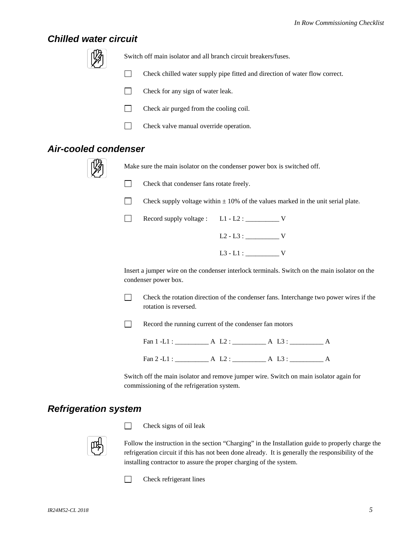#### *Chilled water circuit*



Switch off main isolator and all branch circuit breakers/fuses.

- Check chilled water supply pipe fitted and direction of water flow correct.
- $\Box$  Check for any sign of water leak.
- $\Box$  Check air purged from the cooling coil.
- **Check valve manual override operation.**

#### *Air-cooled condenser*



Make sure the main isolator on the condenser power box is switched off.



Check that condenser fans rotate freely.

- Check supply voltage within  $\pm$  10% of the values marked in the unit serial plate.
- Record supply voltage : L1 L2 : \_\_\_\_\_\_\_\_\_\_\_ V  $L2 - L3 : \_$ L3 - L1 : \_\_\_\_\_\_\_\_\_\_ V

Insert a jumper wire on the condenser interlock terminals. Switch on the main isolator on the condenser power box.

 $\Box$  Check the rotation direction of the condenser fans. Interchange two power wires if the rotation is reversed.

 $\Box$  Record the running current of the condenser fan motors

Fan 1 -L1 : \_\_\_\_\_\_\_\_\_\_ A L2 : \_\_\_\_\_\_\_\_\_\_ A L3 : \_\_\_\_\_\_\_\_\_\_ A

Fan 2 -L1 : \_\_\_\_\_\_\_\_\_\_ A L2 : \_\_\_\_\_\_\_\_\_\_ A L3 : \_\_\_\_\_\_\_\_\_\_ A

Switch off the main isolator and remove jumper wire. Switch on main isolator again for commissioning of the refrigeration system.

#### *Refrigeration system*



 $\Box$  Check signs of oil leak

Follow the instruction in the section "Charging" in the Installation guide to properly charge the refrigeration circuit if this has not been done already. It is generally the responsibility of the installing contractor to assure the proper charging of the system.

 $\Box$  Check refrigerant lines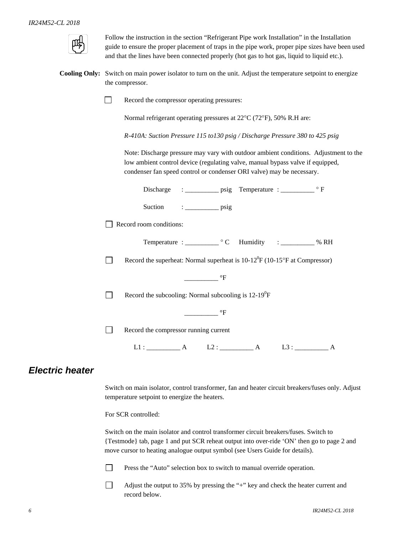

Follow the instruction in the section "Refrigerant Pipe work Installation" in the Installation guide to ensure the proper placement of traps in the pipe work, proper pipe sizes have been used and that the lines have been connected properly (hot gas to hot gas, liquid to liquid etc.).

**Cooling Only:** Switch on main power isolator to turn on the unit. Adjust the temperature setpoint to energize the compressor.

Record the compressor operating pressures:

Normal refrigerant operating pressures at 22°C (72°F), 50% R.H are:

*R-410A: Suction Pressure 115 to130 psig / Discharge Pressure 380 to 425 psig* 

 Note: Discharge pressure may vary with outdoor ambient conditions. Adjustment to the low ambient control device (regulating valve, manual bypass valve if equipped, condenser fan speed control or condenser ORI valve) may be necessary.

| Suction $\qquad \qquad : \qquad \qquad \text{psig}$                                       |
|-------------------------------------------------------------------------------------------|
| Record room conditions:                                                                   |
|                                                                                           |
| Record the superheat: Normal superheat is $10-12^{\circ}F(10-15^{\circ}F)$ at Compressor) |
| $\equiv$ $\mathbf{P}$                                                                     |
| Record the subcooling: Normal subcooling is $12-19^0F$                                    |
| $\circ$ F                                                                                 |
| Record the compressor running current                                                     |
| $L1:$ $A$ $L2:$ $A$<br>L3:                                                                |

#### *Electric heater*

Switch on main isolator, control transformer, fan and heater circuit breakers/fuses only. Adjust temperature setpoint to energize the heaters.

For SCR controlled:

Switch on the main isolator and control transformer circuit breakers/fuses. Switch to {Testmode} tab, page 1 and put SCR reheat output into over-ride 'ON' then go to page 2 and move cursor to heating analogue output symbol (see Users Guide for details).

**Press the "Auto" selection box to switch to manual override operation.** 

Adjust the output to 35% by pressing the "+" key and check the heater current and record below.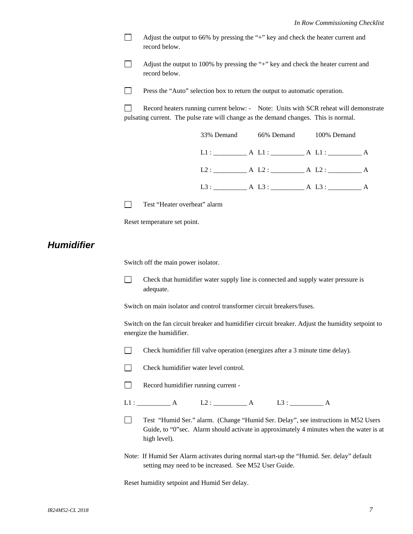Adjust the output to 66% by pressing the "+" key and check the heater current and record below.

Adjust the output to 100% by pressing the "+" key and check the heater current and record below.

**Press the "Auto" selection box to return the output to automatic operation.** 

Record heaters running current below: - Note: Units with SCR reheat will demonstrate pulsating current. The pulse rate will change as the demand changes. This is normal.

| 33% Demand 66% Demand 100% Demand  |  |  |  |
|------------------------------------|--|--|--|
| $L1:$ $A L1:$ $A L1:$ $A L1:$ $A$  |  |  |  |
| L2: A L2: A L2: A                  |  |  |  |
| L3: $A L3$ : $A L3$ : $A L3$ : $A$ |  |  |  |

Test "Heater overheat" alarm

Reset temperature set point.

#### *Humidifier*

Switch off the main power isolator.

 Check that humidifier water supply line is connected and supply water pressure is adequate.

Switch on main isolator and control transformer circuit breakers/fuses.

Switch on the fan circuit breaker and humidifier circuit breaker. Adjust the humidity setpoint to energize the humidifier.



- Check humidifier water level control.
- Record humidifier running current -

L1 : \_\_\_\_\_\_\_\_\_\_ A L2 : \_\_\_\_\_\_\_\_\_\_ A L3 : \_\_\_\_\_\_\_\_\_\_ A

- Test "Humid Ser." alarm. (Change "Humid Ser. Delay", see instructions in M52 Users Guide, to "0"sec. Alarm should activate in approximately 4 minutes when the water is at high level).
- Note: If Humid Ser Alarm activates during normal start-up the "Humid. Ser. delay" default setting may need to be increased. See M52 User Guide.

Reset humidity setpoint and Humid Ser delay.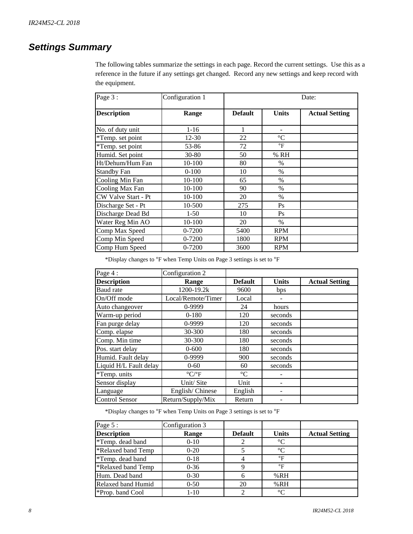#### *Settings Summary*

The following tables summarize the settings in each page. Record the current settings. Use this as a reference in the future if any settings get changed. Record any new settings and keep record with the equipment.

| Page 3:             | Configuration 1 | Date:          |                 |                       |
|---------------------|-----------------|----------------|-----------------|-----------------------|
| <b>Description</b>  | Range           | <b>Default</b> | <b>Units</b>    | <b>Actual Setting</b> |
| No. of duty unit    | $1 - 16$        | 1              |                 |                       |
| *Temp. set point    | $12 - 30$       | 22             | $\rm ^{\circ}C$ |                       |
| *Temp. set point    | 53-86           | 72             | $\mathsf{P}$    |                       |
| Humid. Set point    | $30 - 80$       | 50             | % RH            |                       |
| Ht/Dehum/Hum Fan    | 10-100          | 80             | $\%$            |                       |
| <b>Standby Fan</b>  | $0-100$         | 10             | $\%$            |                       |
| Cooling Min Fan     | 10-100          | 65             | $\%$            |                       |
| Cooling Max Fan     | $10-100$        | 90             | $\%$            |                       |
| CW Valve Start - Pt | 10-100          | 20             | $\%$            |                       |
| Discharge Set - Pt  | 10-500          | 275            | Ps              |                       |
| Discharge Dead Bd   | $1-50$          | 10             | Ps              |                       |
| Water Reg Min AO    | 10-100          | 20             | $\%$            |                       |
| Comp Max Speed      | 0-7200          | 5400           | <b>RPM</b>      |                       |
| Comp Min Speed      | 0-7200          | 1800           | <b>RPM</b>      |                       |
| Comp Hum Speed      | 0-7200          | 3600           | <b>RPM</b>      |                       |

\*Display changes to °F when Temp Units on Page 3 settings is set to °F

| Page 4:                | Configuration 2                 |                 |              |                       |
|------------------------|---------------------------------|-----------------|--------------|-----------------------|
| <b>Description</b>     | Range                           | <b>Default</b>  | <b>Units</b> | <b>Actual Setting</b> |
| <b>Baud</b> rate       | 1200-19.2k                      | 9600            | bps          |                       |
| On/Off mode            | Local/Remote/Timer              | Local           |              |                       |
| Auto changeover        | 0-9999                          | 24              | hours        |                       |
| Warm-up period         | $0 - 180$                       | 120             | seconds      |                       |
| Fan purge delay        | 0-9999                          | 120             | seconds      |                       |
| Comp. elapse           | 30-300                          | 180             | seconds      |                       |
| Comp. Min time         | 30-300                          | 180             | seconds      |                       |
| Pos. start delay       | $0 - 600$                       | 180             | seconds      |                       |
| Humid. Fault delay     | 0-9999                          | 900             | seconds      |                       |
| Liquid H/L Fault delay | $0 - 60$                        | 60              | seconds      |                       |
| *Temp. units           | $\rm ^{\circ} C/\rm ^{\circ} F$ | $\rm ^{\circ}C$ |              |                       |
| Sensor display         | Unit/Site                       | Unit            |              |                       |
| Language               | English/Chinese                 | English         |              |                       |
| <b>Control Sensor</b>  | Return/Supply/Mix               | Return          |              |                       |

\*Display changes to °F when Temp Units on Page 3 settings is set to °F

| Page 5:            | Configuration 3 |                |              |                       |
|--------------------|-----------------|----------------|--------------|-----------------------|
| <b>Description</b> | Range           | <b>Default</b> | <b>Units</b> | <b>Actual Setting</b> |
| *Temp. dead band   | $0 - 10$        |                | $^{\circ}C$  |                       |
| *Relaxed band Temp | $0 - 20$        |                | $^{\circ}C$  |                       |
| *Temp. dead band   | $0-18$          |                | °F           |                       |
| *Relaxed band Temp | $0 - 36$        |                | °F           |                       |
| Hum. Dead band     | $0 - 30$        | 6              | %RH          |                       |
| Relaxed band Humid | $0 - 50$        | 20             | %RH          |                       |
| *Prop. band Cool   | $1 - 10$        | 2              | $^{\circ}C$  |                       |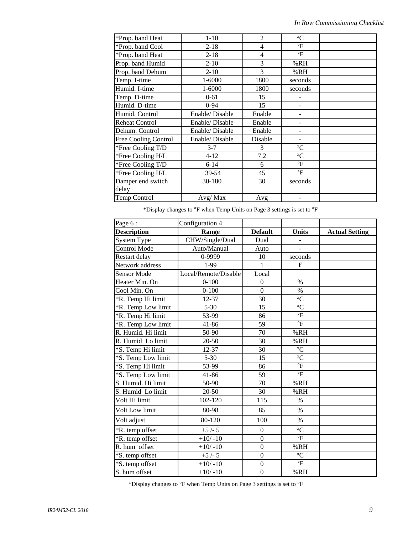| *Prop. band Heat            | $1 - 10$       | $\overline{2}$ | $\rm ^{\circ}C$ |  |
|-----------------------------|----------------|----------------|-----------------|--|
| *Prop. band Cool            | $2 - 18$       | $\overline{4}$ | $\circ$ F       |  |
| *Prop. band Heat            | $2 - 18$       | 4              | $\circ$ F       |  |
| Prop. band Humid            | $2 - 10$       | 3              | %RH             |  |
| Prop. band Dehum            | $2 - 10$       | 3              | %RH             |  |
| Temp. I-time                | $1 - 6000$     | 1800           | seconds         |  |
| Humid. I-time               | 1-6000         | 1800           | seconds         |  |
| Temp. D-time                | $0 - 61$       | 15             |                 |  |
| Humid. D-time               | $0 - 94$       | 15             |                 |  |
| Humid. Control              | Enable/Disable | Enable         |                 |  |
| <b>Reheat Control</b>       | Enable/Disable | Enable         |                 |  |
| Dehum. Control              | Enable/Disable | Enable         |                 |  |
| <b>Free Cooling Control</b> | Enable/Disable | Disable        |                 |  |
| *Free Cooling T/D           | $3 - 7$        | 3              | $\rm ^{\circ}C$ |  |
| *Free Cooling H/L           | $4 - 12$       | 7.2            | $\rm ^{\circ}C$ |  |
| *Free Cooling T/D           | $6 - 14$       | 6              | $\circ$ F       |  |
| *Free Cooling H/L           | 39-54          | 45             | $\circ$ F       |  |
| Damper end switch           | 30-180         | 30             | seconds         |  |
| delay                       |                |                |                 |  |
| Temp Control                | Avg/Max        | Avg            |                 |  |

 $^*\!$  Display changes to  $^o\!F$  when Temp Units on Page 3 settings is set to  $^o\!F$ 

| Page 6:            | Configuration 4      |                  |                           |                       |
|--------------------|----------------------|------------------|---------------------------|-----------------------|
| <b>Description</b> | Range                | <b>Default</b>   | <b>Units</b>              | <b>Actual Setting</b> |
| <b>System Type</b> | CHW/Single/Dual      | Dual             | $\overline{\phantom{a}}$  |                       |
| Control Mode       | Auto/Manual          | Auto             |                           |                       |
| Restart delay      | 0-9999               | 10               | seconds                   |                       |
| Network address    | 1-99                 | $\mathbf{1}$     | F                         |                       |
| Sensor Mode        | Local/Remote/Disable | Local            |                           |                       |
| Heater Min. On     | $0 - 100$            | $\overline{0}$   | $\%$                      |                       |
| Cool Min. On       | $0 - 100$            | $\mathbf{0}$     | $\%$                      |                       |
| *R. Temp Hi limit  | 12-37                | 30               | $\rm ^{\circ}C$           |                       |
| *R. Temp Low limit | $5 - 30$             | 15               | $\overline{C}$            |                       |
| *R. Temp Hi limit  | 53-99                | 86               | $\overline{\text{}}$      |                       |
| *R. Temp Low limit | 41-86                | 59               | $\mathrm{^{\circ}F}$      |                       |
| R. Humid. Hi limit | 50-90                | 70               | %RH                       |                       |
| R. Humid Lo limit  | 20-50                | 30               | %RH                       |                       |
| *S. Temp Hi limit  | 12-37                | 30               | $\rm ^{\circ}C$           |                       |
| *S. Temp Low limit | $5 - 30$             | 15               | $\rm ^{\circ}C$           |                       |
| *S. Temp Hi limit  | 53-99                | 86               | $\mathrm{^{\circ}F}$      |                       |
| *S. Temp Low limit | 41-86                | 59               | $\mathrm{P}_{\mathrm{F}}$ |                       |
| S. Humid. Hi limit | 50-90                | 70               | %RH                       |                       |
| S. Humid Lo limit  | 20-50                | 30               | %RH                       |                       |
| Volt Hi limit      | 102-120              | 115              | $\%$                      |                       |
| Volt Low limit     | 80-98                | 85               | $\%$                      |                       |
| Volt adjust        | 80-120               | 100              | $\%$                      |                       |
| *R. temp offset    | $+5/-5$              | $\boldsymbol{0}$ | $\rm ^{\circ}C$           |                       |
| *R. temp offset    | $+10/-10$            | $\boldsymbol{0}$ | $\overline{\text{}}$      |                       |
| R. hum offset      | $+10/-10$            | $\mathbf{0}$     | %RH                       |                       |
| *S. temp offset    | $+5/-5$              | $\boldsymbol{0}$ | $\rm ^{\circ}C$           |                       |
| *S. temp offset    | $+10/-10$            | $\boldsymbol{0}$ | $\,^{\circ}\mathrm{F}$    |                       |
| S. hum offset      | $+10/-10$            | $\mathbf{0}$     | %RH                       |                       |

 $^*$ Display changes to  $^{\rm o}{\rm F}$  when Temp Units on Page 3 settings is set to  $^{\rm o}{\rm F}$